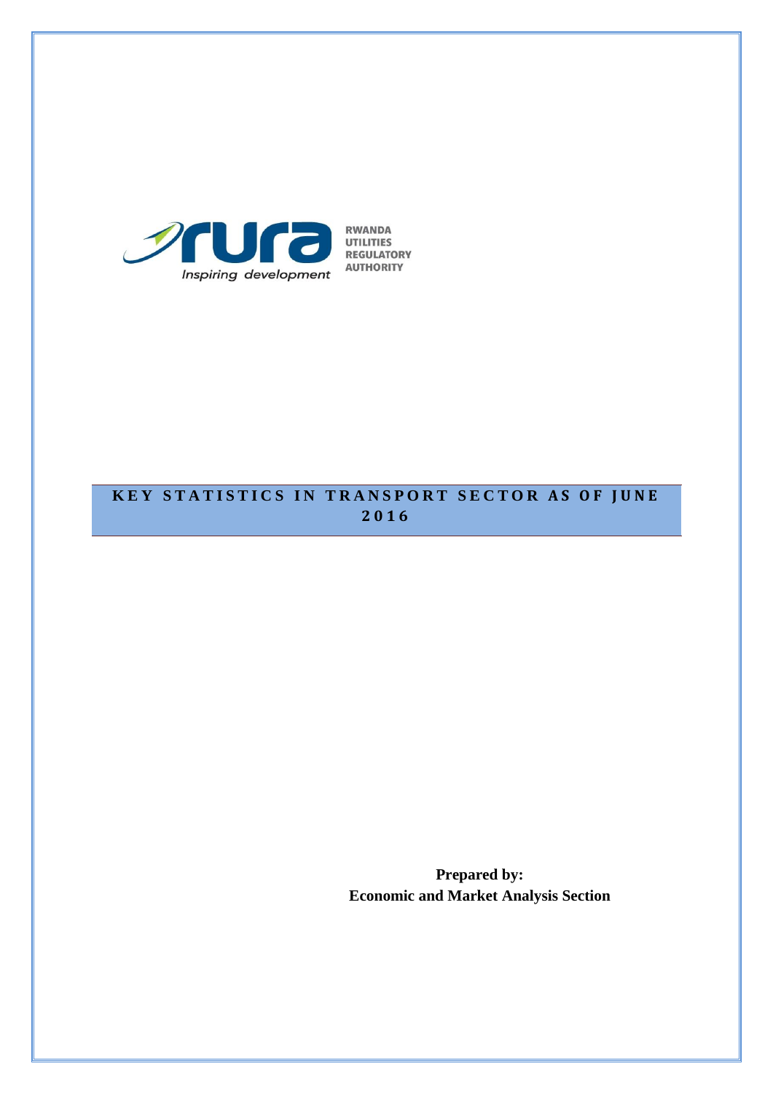

# **KEY STATISTICS IN TRANSPORT SECTOR AS OF JUNE 2016**

**Prepared by: Economic and Market Analysis Section**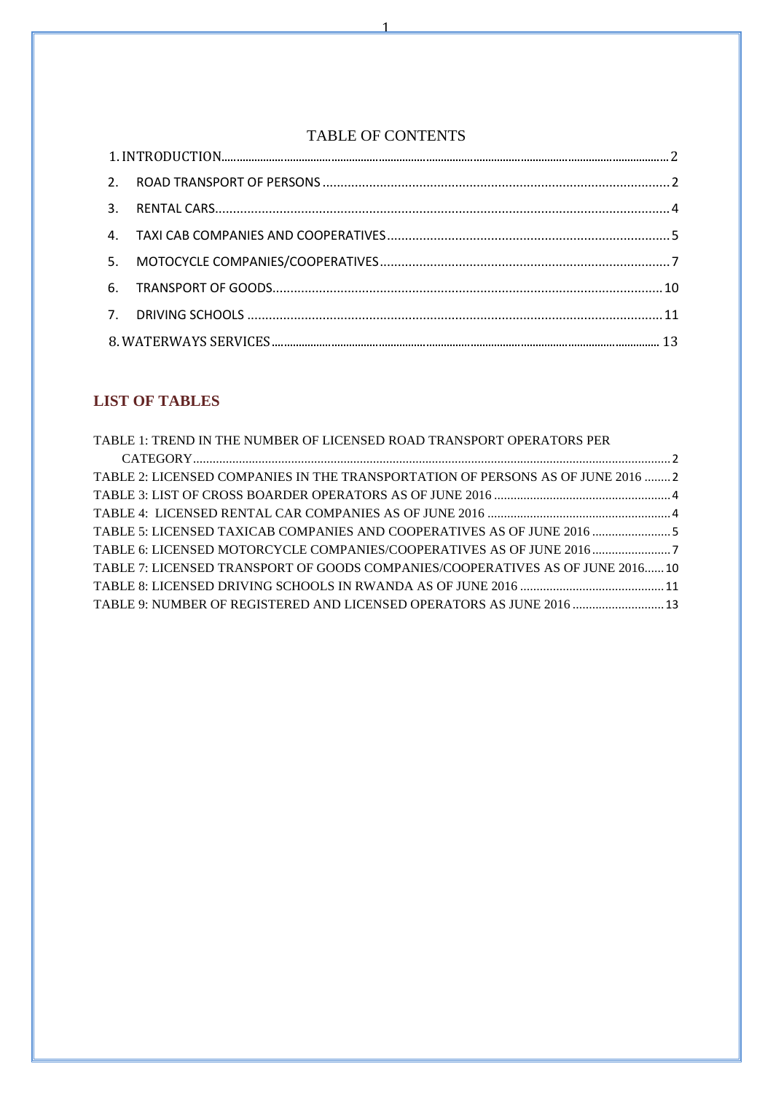## TABLE OF CONTENTS

1

## **LIST OF TABLES**

| TABLE 1: TREND IN THE NUMBER OF LICENSED ROAD TRANSPORT OPERATORS PER           |  |
|---------------------------------------------------------------------------------|--|
|                                                                                 |  |
| TABLE 2: LICENSED COMPANIES IN THE TRANSPORTATION OF PERSONS AS OF JUNE 2016  2 |  |
|                                                                                 |  |
|                                                                                 |  |
| TABLE 5: LICENSED TAXICAB COMPANIES AND COOPERATIVES AS OF JUNE 2016  5         |  |
| TABLE 6: LICENSED MOTORCYCLE COMPANIES/COOPERATIVES AS OF JUNE 2016             |  |
| TABLE 7: LICENSED TRANSPORT OF GOODS COMPANIES/COOPERATIVES AS OF JUNE 2016 10  |  |
|                                                                                 |  |
| TABLE 9: NUMBER OF REGISTERED AND LICENSED OPERATORS AS JUNE 2016  13           |  |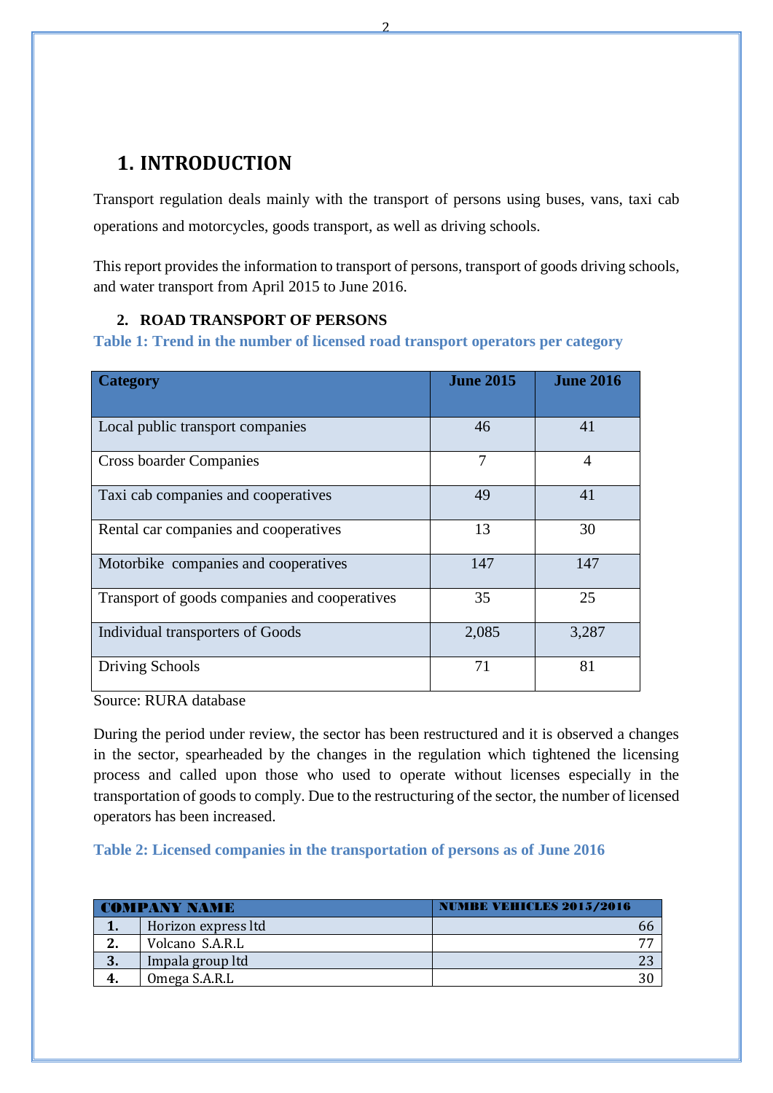# <span id="page-2-0"></span>**1. INTRODUCTION**

Transport regulation deals mainly with the transport of persons using buses, vans, taxi cab operations and motorcycles, goods transport, as well as driving schools.

This report provides the information to transport of persons, transport of goods driving schools, and water transport from April 2015 to June 2016.

#### <span id="page-2-1"></span>**2. ROAD TRANSPORT OF PERSONS**

<span id="page-2-2"></span>**Table 1: Trend in the number of licensed road transport operators per category**

| <b>Category</b>                               | <b>June 2015</b> | <b>June 2016</b> |
|-----------------------------------------------|------------------|------------------|
| Local public transport companies              | 46               | 41               |
| <b>Cross boarder Companies</b>                | 7                | 4                |
| Taxi cab companies and cooperatives           | 49               | 41               |
| Rental car companies and cooperatives         | 13               | 30               |
| Motorbike companies and cooperatives          | 147              | 147              |
| Transport of goods companies and cooperatives | 35               | 25               |
| Individual transporters of Goods              | 2,085            | 3,287            |
| Driving Schools                               | 71               | 81               |

Source: RURA database

During the period under review, the sector has been restructured and it is observed a changes in the sector, spearheaded by the changes in the regulation which tightened the licensing process and called upon those who used to operate without licenses especially in the transportation of goods to comply. Due to the restructuring of the sector, the number of licensed operators has been increased.

<span id="page-2-3"></span>**Table 2: Licensed companies in the transportation of persons as of June 2016**

| <b>COMPANY NAME</b> |                     | <b>NUMBE VEHICLES 2015/2016</b> |
|---------------------|---------------------|---------------------------------|
|                     | Horizon express ltd | hh                              |
| 2.                  | Volcano S.A.R.L     | 77                              |
| 3.                  | Impala group ltd    |                                 |
| 4.                  | Omega S.A.R.L       |                                 |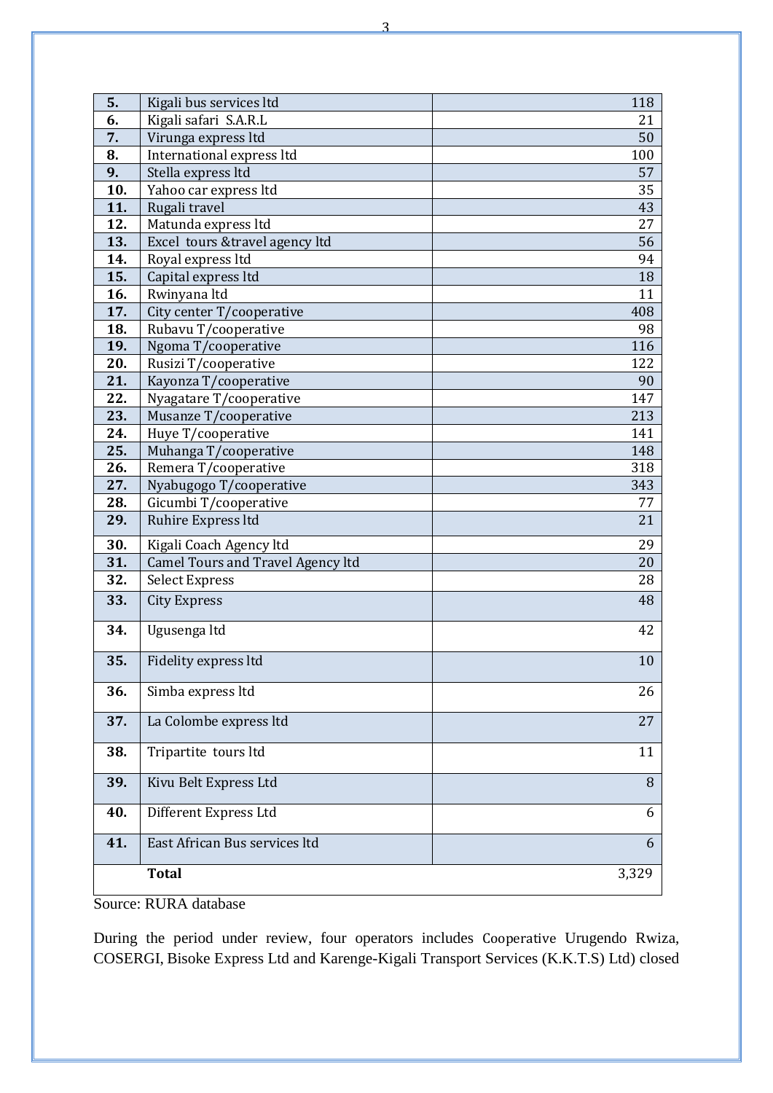| 5.  | Kigali bus services ltd                  | 118   |
|-----|------------------------------------------|-------|
| 6.  | Kigali safari S.A.R.L                    | 21    |
| 7.  | Virunga express ltd                      | 50    |
| 8.  | International express ltd                | 100   |
| 9.  | Stella express ltd                       | 57    |
| 10. | Yahoo car express ltd                    | 35    |
| 11. | Rugali travel                            | 43    |
| 12. | Matunda express ltd                      | 27    |
| 13. | Excel tours & travel agency ltd          | 56    |
| 14. | Royal express ltd                        | 94    |
| 15. | Capital express ltd                      | 18    |
| 16. | Rwinyana ltd                             | 11    |
| 17. | City center T/cooperative                | 408   |
| 18. | Rubavu T/cooperative                     | 98    |
| 19. | Ngoma T/cooperative                      | 116   |
| 20. | Rusizi T/cooperative                     | 122   |
| 21. | Kayonza T/cooperative                    | 90    |
| 22. | Nyagatare T/cooperative                  | 147   |
| 23. | Musanze T/cooperative                    | 213   |
| 24. | Huye T/cooperative                       | 141   |
| 25. | Muhanga T/cooperative                    | 148   |
| 26. | Remera T/cooperative                     | 318   |
| 27. | Nyabugogo T/cooperative                  | 343   |
| 28. | Gicumbi T/cooperative                    | 77    |
| 29. | Ruhire Express ltd                       | 21    |
| 30. | Kigali Coach Agency ltd                  | 29    |
| 31. | <b>Camel Tours and Travel Agency ltd</b> | 20    |
| 32. | <b>Select Express</b>                    | 28    |
| 33. | <b>City Express</b>                      | 48    |
| 34. | Ugusenga ltd                             | 42    |
| 35. | Fidelity express ltd                     | 10    |
| 36. | Simba express ltd                        | 26    |
| 37. | La Colombe express ltd                   | 27    |
| 38. | Tripartite tours ltd                     | 11    |
| 39. | Kivu Belt Express Ltd                    | 8     |
| 40. | Different Express Ltd                    | 6     |
| 41. | East African Bus services ltd            | 6     |
|     | <b>Total</b>                             | 3,329 |

During the period under review, four operators includes Cooperative Urugendo Rwiza, COSERGI, Bisoke Express Ltd and Karenge-Kigali Transport Services (K.K.T.S) Ltd) closed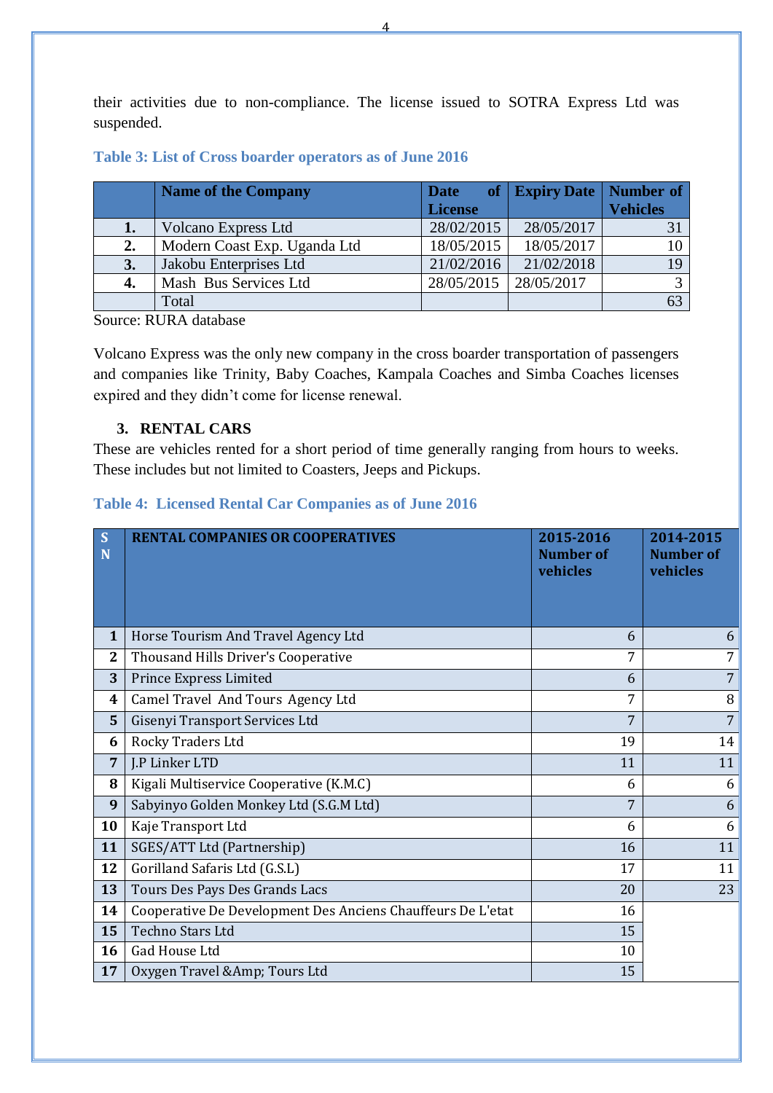their activities due to non-compliance. The license issued to SOTRA Express Ltd was suspended.

#### <span id="page-4-1"></span>**Table 3: List of Cross boarder operators as of June 2016**

|    | <b>Name of the Company</b>   | <b>Date</b>    | of   Expiry Date | Number of       |
|----|------------------------------|----------------|------------------|-----------------|
|    |                              | <b>License</b> |                  | <b>Vehicles</b> |
| 1. | <b>Volcano Express Ltd</b>   | 28/02/2015     | 28/05/2017       |                 |
| 2. | Modern Coast Exp. Uganda Ltd | 18/05/2015     | 18/05/2017       |                 |
| 3. | Jakobu Enterprises Ltd       | 21/02/2016     | 21/02/2018       |                 |
| 4. | Mash Bus Services Ltd        | 28/05/2015     | 28/05/2017       |                 |
|    | Total                        |                |                  |                 |

Source: RURA database

Volcano Express was the only new company in the cross boarder transportation of passengers and companies like Trinity, Baby Coaches, Kampala Coaches and Simba Coaches licenses expired and they didn't come for license renewal.

#### **3. RENTAL CARS**

<span id="page-4-0"></span>These are vehicles rented for a short period of time generally ranging from hours to weeks. These includes but not limited to Coasters, Jeeps and Pickups.

#### <span id="page-4-2"></span>**Table 4: Licensed Rental Car Companies as of June 2016**

| S<br>N         | <b>RENTAL COMPANIES OR COOPERATIVES</b>                     | 2015-2016<br><b>Number of</b><br>vehicles | 2014-2015<br><b>Number of</b><br>vehicles |
|----------------|-------------------------------------------------------------|-------------------------------------------|-------------------------------------------|
| 1              | Horse Tourism And Travel Agency Ltd                         | 6                                         | 6                                         |
| $\mathbf{2}$   | Thousand Hills Driver's Cooperative                         | 7                                         | $\overline{7}$                            |
| 3              | Prince Express Limited                                      | 6                                         | $7\overline{ }$                           |
| 4              | Camel Travel And Tours Agency Ltd                           | 7                                         | 8                                         |
| 5              | Gisenyi Transport Services Ltd                              | 7                                         | $7\overline{ }$                           |
| 6              | Rocky Traders Ltd                                           | 19                                        | 14                                        |
| $\overline{7}$ | J.P Linker LTD                                              | 11                                        | 11                                        |
| 8              | Kigali Multiservice Cooperative (K.M.C)                     | 6                                         | 6                                         |
| 9              | Sabyinyo Golden Monkey Ltd (S.G.M Ltd)                      | 7                                         | 6                                         |
| 10             | Kaje Transport Ltd                                          | 6                                         | 6                                         |
| 11             | SGES/ATT Ltd (Partnership)                                  | 16                                        | 11                                        |
| 12             | Gorilland Safaris Ltd (G.S.L)                               | 17                                        | 11                                        |
| 13             | Tours Des Pays Des Grands Lacs                              | 20                                        | 23                                        |
| 14             | Cooperative De Development Des Anciens Chauffeurs De L'etat | 16                                        |                                           |
| 15             | Techno Stars Ltd                                            | 15                                        |                                           |
| 16             | Gad House Ltd                                               | 10                                        |                                           |
| 17             | Oxygen Travel &Amp Tours Ltd                                | 15                                        |                                           |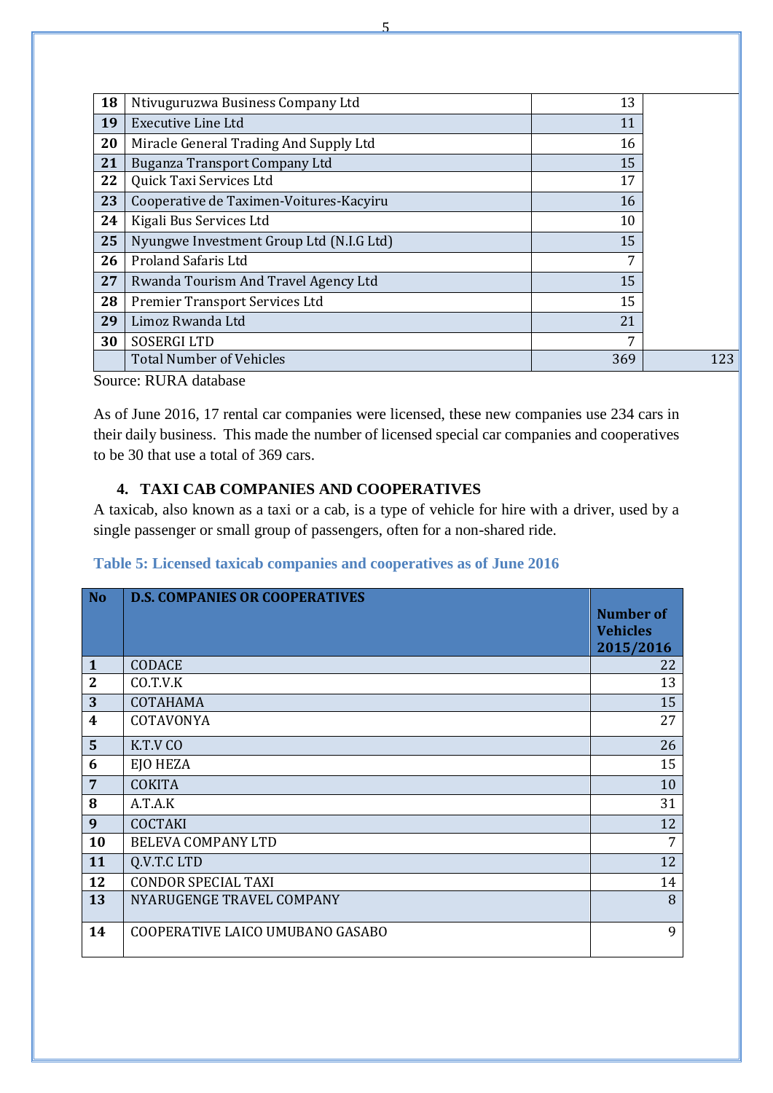| 18 | Ntivuguruzwa Business Company Ltd        | 13  |     |
|----|------------------------------------------|-----|-----|
| 19 | Executive Line Ltd                       | 11  |     |
| 20 | Miracle General Trading And Supply Ltd   | 16  |     |
| 21 | Buganza Transport Company Ltd            | 15  |     |
| 22 | Quick Taxi Services Ltd                  | 17  |     |
| 23 | Cooperative de Taximen-Voitures-Kacyiru  | 16  |     |
| 24 | Kigali Bus Services Ltd                  | 10  |     |
| 25 | Nyungwe Investment Group Ltd (N.I.G Ltd) | 15  |     |
| 26 | <b>Proland Safaris Ltd</b>               | 7   |     |
| 27 | Rwanda Tourism And Travel Agency Ltd     | 15  |     |
| 28 | Premier Transport Services Ltd           | 15  |     |
| 29 | Limoz Rwanda Ltd                         | 21  |     |
| 30 | <b>SOSERGI LTD</b>                       | 7   |     |
|    | <b>Total Number of Vehicles</b>          | 369 | 123 |

As of June 2016, 17 rental car companies were licensed, these new companies use 234 cars in their daily business. This made the number of licensed special car companies and cooperatives to be 30 that use a total of 369 cars.

## **4. TAXI CAB COMPANIES AND COOPERATIVES**

<span id="page-5-0"></span>A taxicab, also known as a taxi or a cab, is a type of [vehicle for hire](http://en.wikipedia.org/wiki/Vehicle_for_hire) with a driver, used by a single passenger or small group of passengers, often for a non-shared ride.

<span id="page-5-1"></span>

| Table 5: Licensed taxicab companies and cooperatives as of June 2016 |  |  |  |
|----------------------------------------------------------------------|--|--|--|
|----------------------------------------------------------------------|--|--|--|

| No               | <b>D.S. COMPANIES OR COOPERATIVES</b> | <b>Number of</b><br><b>Vehicles</b><br>2015/2016 |
|------------------|---------------------------------------|--------------------------------------------------|
| $\mathbf{1}$     | <b>CODACE</b>                         | 22                                               |
| $\overline{2}$   | CO.T.V.K                              | 13                                               |
| 3                | COTAHAMA                              | 15                                               |
| $\boldsymbol{4}$ | COTAVONYA                             | 27                                               |
| $5\phantom{1}$   | K.T.V CO                              | 26                                               |
| 6                | EJO HEZA                              | 15                                               |
| $7\phantom{.0}$  | <b>COKITA</b>                         | 10                                               |
| 8                | A.T.A.K                               | 31                                               |
| 9                | <b>COCTAKI</b>                        | 12                                               |
| 10               | <b>BELEVA COMPANY LTD</b>             | 7                                                |
| 11               | Q.V.T.C LTD                           | 12                                               |
| 12               | <b>CONDOR SPECIAL TAXI</b>            | 14                                               |
| 13               | NYARUGENGE TRAVEL COMPANY             | 8                                                |
| 14               | COOPERATIVE LAICO UMUBANO GASABO      | 9                                                |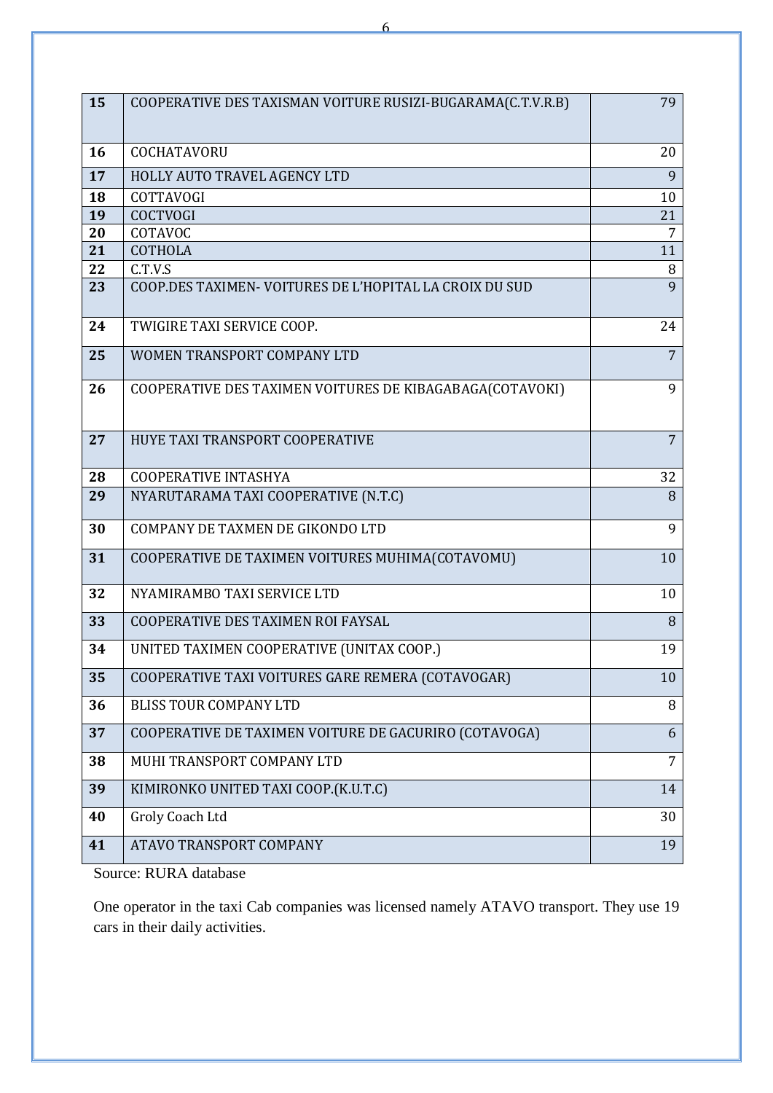| 15 | COOPERATIVE DES TAXISMAN VOITURE RUSIZI-BUGARAMA(C.T.V.R.B) | 79             |
|----|-------------------------------------------------------------|----------------|
| 16 | <b>COCHATAVORU</b>                                          | 20             |
| 17 | HOLLY AUTO TRAVEL AGENCY LTD                                | 9              |
| 18 | <b>COTTAVOGI</b>                                            | 10             |
| 19 | <b>COCTVOGI</b>                                             | 21             |
| 20 | COTAVOC                                                     | 7              |
| 21 | <b>COTHOLA</b>                                              | 11             |
| 22 | C.T.V.S                                                     | 8              |
| 23 | COOP.DES TAXIMEN-VOITURES DE L'HOPITAL LA CROIX DU SUD      | 9              |
| 24 | TWIGIRE TAXI SERVICE COOP.                                  | 24             |
| 25 | WOMEN TRANSPORT COMPANY LTD                                 | $\overline{7}$ |
| 26 | COOPERATIVE DES TAXIMEN VOITURES DE KIBAGABAGA(COTAVOKI)    | 9              |
| 27 | HUYE TAXI TRANSPORT COOPERATIVE                             | $\overline{7}$ |
| 28 | <b>COOPERATIVE INTASHYA</b>                                 | 32             |
| 29 | NYARUTARAMA TAXI COOPERATIVE (N.T.C)                        | 8              |
| 30 | COMPANY DE TAXMEN DE GIKONDO LTD                            | 9              |
| 31 | COOPERATIVE DE TAXIMEN VOITURES MUHIMA(COTAVOMU)            | 10             |
| 32 | NYAMIRAMBO TAXI SERVICE LTD                                 | 10             |
| 33 | COOPERATIVE DES TAXIMEN ROI FAYSAL                          | 8              |
| 34 | UNITED TAXIMEN COOPERATIVE (UNITAX COOP.)                   | 19             |
| 35 | COOPERATIVE TAXI VOITURES GARE REMERA (COTAVOGAR)           | 10             |
| 36 | <b>BLISS TOUR COMPANY LTD</b>                               | 8              |
| 37 | COOPERATIVE DE TAXIMEN VOITURE DE GACURIRO (COTAVOGA)       | 6              |
| 38 | MUHI TRANSPORT COMPANY LTD                                  | $\overline{7}$ |
| 39 | KIMIRONKO UNITED TAXI COOP.(K.U.T.C)                        | 14             |
| 40 | Groly Coach Ltd                                             | 30             |
| 41 | ATAVO TRANSPORT COMPANY                                     | 19             |

One operator in the taxi Cab companies was licensed namely ATAVO transport. They use 19 cars in their daily activities.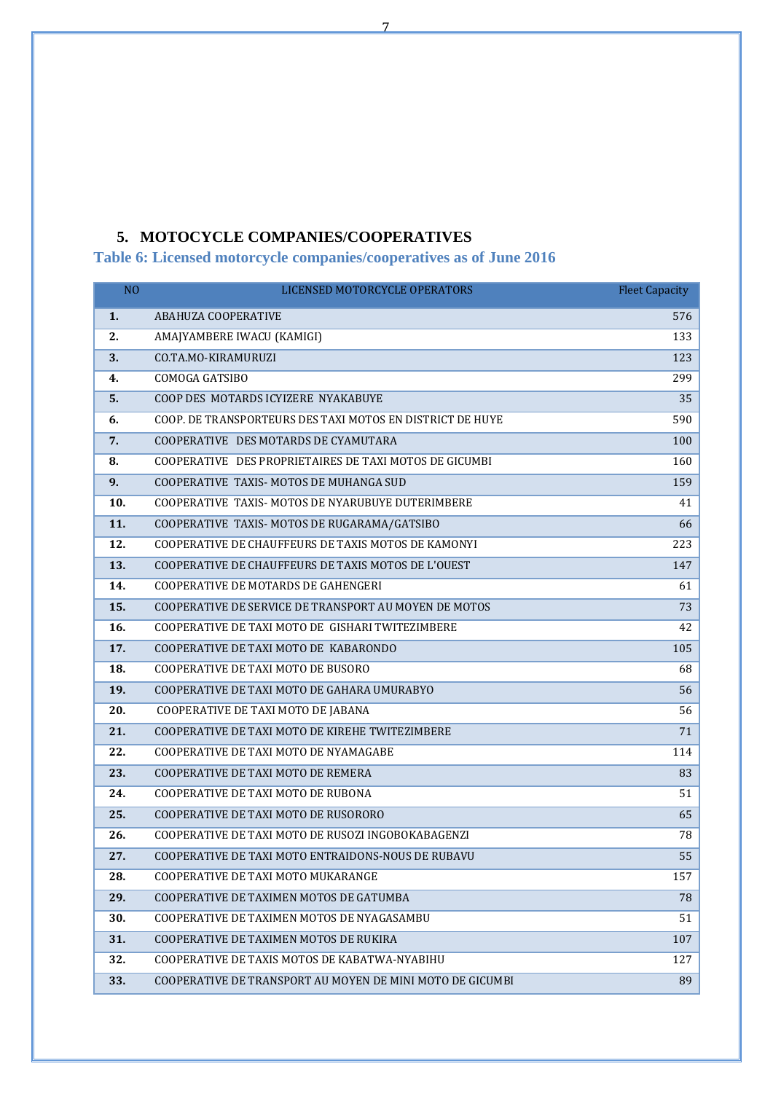### **5. MOTOCYCLE COMPANIES/COOPERATIVES**

<span id="page-7-1"></span><span id="page-7-0"></span>**Table 6: Licensed motorcycle companies/cooperatives as of June 2016**

| N <sub>O</sub> | LICENSED MOTORCYCLE OPERATORS                             | <b>Fleet Capacity</b> |
|----------------|-----------------------------------------------------------|-----------------------|
| 1.             | ABAHUZA COOPERATIVE                                       | 576                   |
| 2.             | AMAJYAMBERE IWACU (KAMIGI)                                | 133                   |
| 3.             | CO.TA.MO-KIRAMURUZI                                       | 123                   |
| 4.             | COMOGA GATSIBO                                            | 299                   |
| 5.             | COOP DES MOTARDS ICYIZERE NYAKABUYE                       | 35                    |
| 6.             | COOP. DE TRANSPORTEURS DES TAXI MOTOS EN DISTRICT DE HUYE | 590                   |
| 7.             | COOPERATIVE DES MOTARDS DE CYAMUTARA                      | 100                   |
| 8.             | COOPERATIVE DES PROPRIETAIRES DE TAXI MOTOS DE GICUMBI    | 160                   |
| 9.             | COOPERATIVE TAXIS-MOTOS DE MUHANGA SUD                    | 159                   |
| 10.            | COOPERATIVE TAXIS-MOTOS DE NYARUBUYE DUTERIMBERE          | 41                    |
| 11.            | COOPERATIVE TAXIS-MOTOS DE RUGARAMA/GATSIBO               | 66                    |
| 12.            | COOPERATIVE DE CHAUFFEURS DE TAXIS MOTOS DE KAMONYI       | 223                   |
| 13.            | COOPERATIVE DE CHAUFFEURS DE TAXIS MOTOS DE L'OUEST       | 147                   |
| 14.            | COOPERATIVE DE MOTARDS DE GAHENGERI                       | 61                    |
| 15.            | COOPERATIVE DE SERVICE DE TRANSPORT AU MOYEN DE MOTOS     | 73                    |
| 16.            | COOPERATIVE DE TAXI MOTO DE GISHARI TWITEZIMBERE          | 42                    |
| 17.            | COOPERATIVE DE TAXI MOTO DE KABARONDO                     | 105                   |
| 18.            | COOPERATIVE DE TAXI MOTO DE BUSORO                        | 68                    |
| 19.            | COOPERATIVE DE TAXI MOTO DE GAHARA UMURABYO               | 56                    |
| 20.            | COOPERATIVE DE TAXI MOTO DE JABANA                        | 56                    |
| 21.            | COOPERATIVE DE TAXI MOTO DE KIREHE TWITEZIMBERE           | 71                    |
| 22.            | COOPERATIVE DE TAXI MOTO DE NYAMAGABE                     | 114                   |
| 23.            | COOPERATIVE DE TAXI MOTO DE REMERA                        | 83                    |
| 24.            | COOPERATIVE DE TAXI MOTO DE RUBONA                        | 51                    |
| 25.            | COOPERATIVE DE TAXI MOTO DE RUSORORO                      | 65                    |
| 26.            | COOPERATIVE DE TAXI MOTO DE RUSOZI INGOBOKABAGENZI        | 78                    |
| 27.            | COOPERATIVE DE TAXI MOTO ENTRAIDONS-NOUS DE RUBAVU        | 55                    |
| 28.            | COOPERATIVE DE TAXI MOTO MUKARANGE                        | 157                   |
| 29.            | COOPERATIVE DE TAXIMEN MOTOS DE GATUMBA                   | 78                    |
| 30.            | COOPERATIVE DE TAXIMEN MOTOS DE NYAGASAMBU                | 51                    |
| 31.            | COOPERATIVE DE TAXIMEN MOTOS DE RUKIRA                    | 107                   |
| 32.            | COOPERATIVE DE TAXIS MOTOS DE KABATWA-NYABIHU             | 127                   |
| 33.            | COOPERATIVE DE TRANSPORT AU MOYEN DE MINI MOTO DE GICUMBI | 89                    |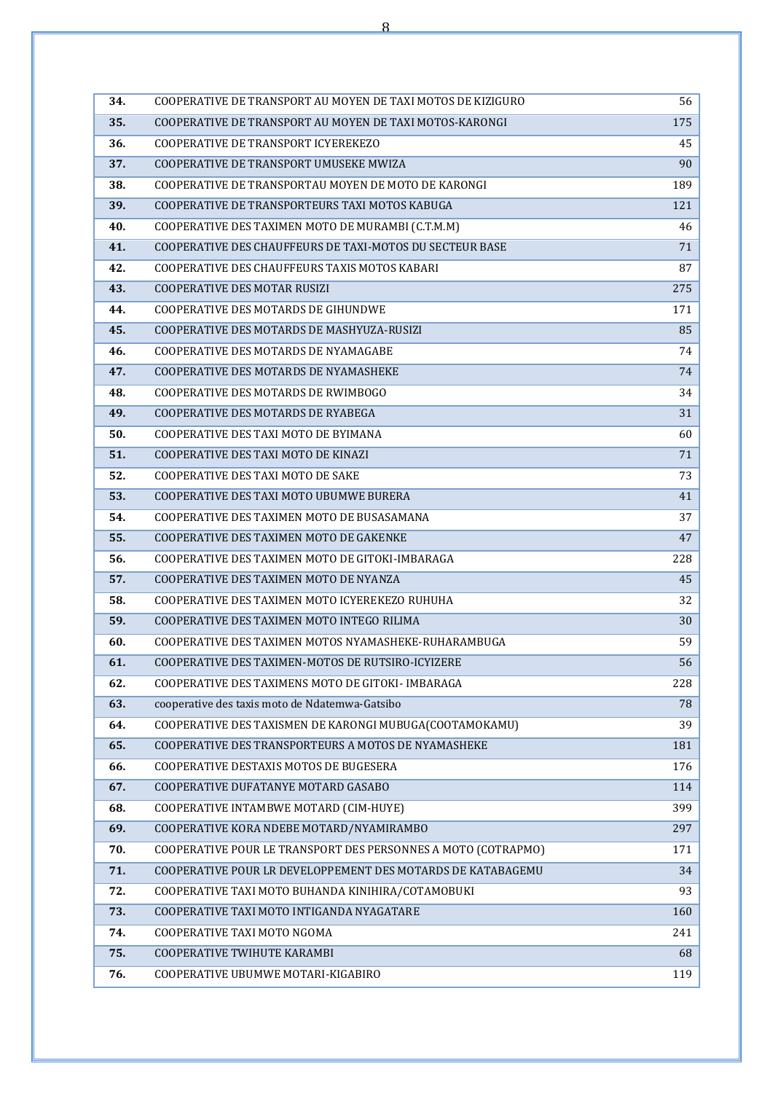| 34. | COOPERATIVE DE TRANSPORT AU MOYEN DE TAXI MOTOS DE KIZIGURO   | 56  |  |  |  |
|-----|---------------------------------------------------------------|-----|--|--|--|
| 35. | COOPERATIVE DE TRANSPORT AU MOYEN DE TAXI MOTOS-KARONGI       |     |  |  |  |
| 36. | COOPERATIVE DE TRANSPORT ICYEREKEZO                           |     |  |  |  |
| 37. | COOPERATIVE DE TRANSPORT UMUSEKE MWIZA                        | 90  |  |  |  |
| 38. | COOPERATIVE DE TRANSPORTAU MOYEN DE MOTO DE KARONGI           | 189 |  |  |  |
| 39. | COOPERATIVE DE TRANSPORTEURS TAXI MOTOS KABUGA                | 121 |  |  |  |
| 40. | COOPERATIVE DES TAXIMEN MOTO DE MURAMBI (C.T.M.M)             | 46  |  |  |  |
| 41. | COOPERATIVE DES CHAUFFEURS DE TAXI-MOTOS DU SECTEUR BASE      | 71  |  |  |  |
| 42. | COOPERATIVE DES CHAUFFEURS TAXIS MOTOS KABARI                 | 87  |  |  |  |
| 43. | COOPERATIVE DES MOTAR RUSIZI                                  | 275 |  |  |  |
| 44. | COOPERATIVE DES MOTARDS DE GIHUNDWE                           | 171 |  |  |  |
| 45. | COOPERATIVE DES MOTARDS DE MASHYUZA-RUSIZI                    | 85  |  |  |  |
| 46. | COOPERATIVE DES MOTARDS DE NYAMAGABE                          | 74  |  |  |  |
| 47. | COOPERATIVE DES MOTARDS DE NYAMASHEKE                         | 74  |  |  |  |
| 48. | COOPERATIVE DES MOTARDS DE RWIMBOGO                           | 34  |  |  |  |
| 49. | COOPERATIVE DES MOTARDS DE RYABEGA                            | 31  |  |  |  |
| 50. | <b>COOPERATIVE DES TAXI MOTO DE BYIMANA</b>                   | 60  |  |  |  |
| 51. | COOPERATIVE DES TAXI MOTO DE KINAZI                           | 71  |  |  |  |
| 52. | COOPERATIVE DES TAXI MOTO DE SAKE                             | 73  |  |  |  |
| 53. | COOPERATIVE DES TAXI MOTO UBUMWE BURERA                       | 41  |  |  |  |
| 54. | COOPERATIVE DES TAXIMEN MOTO DE BUSASAMANA                    | 37  |  |  |  |
| 55. | COOPERATIVE DES TAXIMEN MOTO DE GAKENKE                       | 47  |  |  |  |
| 56. | COOPERATIVE DES TAXIMEN MOTO DE GITOKI-IMBARAGA               | 228 |  |  |  |
| 57. | COOPERATIVE DES TAXIMEN MOTO DE NYANZA                        | 45  |  |  |  |
| 58. | COOPERATIVE DES TAXIMEN MOTO ICYEREKEZO RUHUHA                | 32  |  |  |  |
| 59. | COOPERATIVE DES TAXIMEN MOTO INTEGO RILIMA                    | 30  |  |  |  |
| 60. | COOPERATIVE DES TAXIMEN MOTOS NYAMASHEKE-RUHARAMBUGA          | 59  |  |  |  |
| 61. | COOPERATIVE DES TAXIMEN-MOTOS DE RUTSIRO-ICYIZERE             | 56  |  |  |  |
| 62. | COOPERATIVE DES TAXIMENS MOTO DE GITOKI- IMBARAGA             | 228 |  |  |  |
| 63. | cooperative des taxis moto de Ndatemwa-Gatsibo                | 78  |  |  |  |
| 64. | COOPERATIVE DES TAXISMEN DE KARONGI MUBUGA(COOTAMOKAMU)       | 39  |  |  |  |
| 65. | COOPERATIVE DES TRANSPORTEURS A MOTOS DE NYAMASHEKE           | 181 |  |  |  |
| 66. | COOPERATIVE DESTAXIS MOTOS DE BUGESERA                        | 176 |  |  |  |
| 67. | COOPERATIVE DUFATANYE MOTARD GASABO                           | 114 |  |  |  |
| 68. | COOPERATIVE INTAMBWE MOTARD (CIM-HUYE)                        | 399 |  |  |  |
| 69. | COOPERATIVE KORA NDEBE MOTARD/NYAMIRAMBO                      | 297 |  |  |  |
| 70. | COOPERATIVE POUR LE TRANSPORT DES PERSONNES A MOTO (COTRAPMO) | 171 |  |  |  |
| 71. | COOPERATIVE POUR LR DEVELOPPEMENT DES MOTARDS DE KATABAGEMU   | 34  |  |  |  |
| 72. | COOPERATIVE TAXI MOTO BUHANDA KINIHIRA/COTAMOBUKI             | 93  |  |  |  |
| 73. | COOPERATIVE TAXI MOTO INTIGANDA NYAGATARE                     | 160 |  |  |  |
| 74. | COOPERATIVE TAXI MOTO NGOMA                                   | 241 |  |  |  |
| 75. | COOPERATIVE TWIHUTE KARAMBI                                   | 68  |  |  |  |
| 76. | COOPERATIVE UBUMWE MOTARI-KIGABIRO                            | 119 |  |  |  |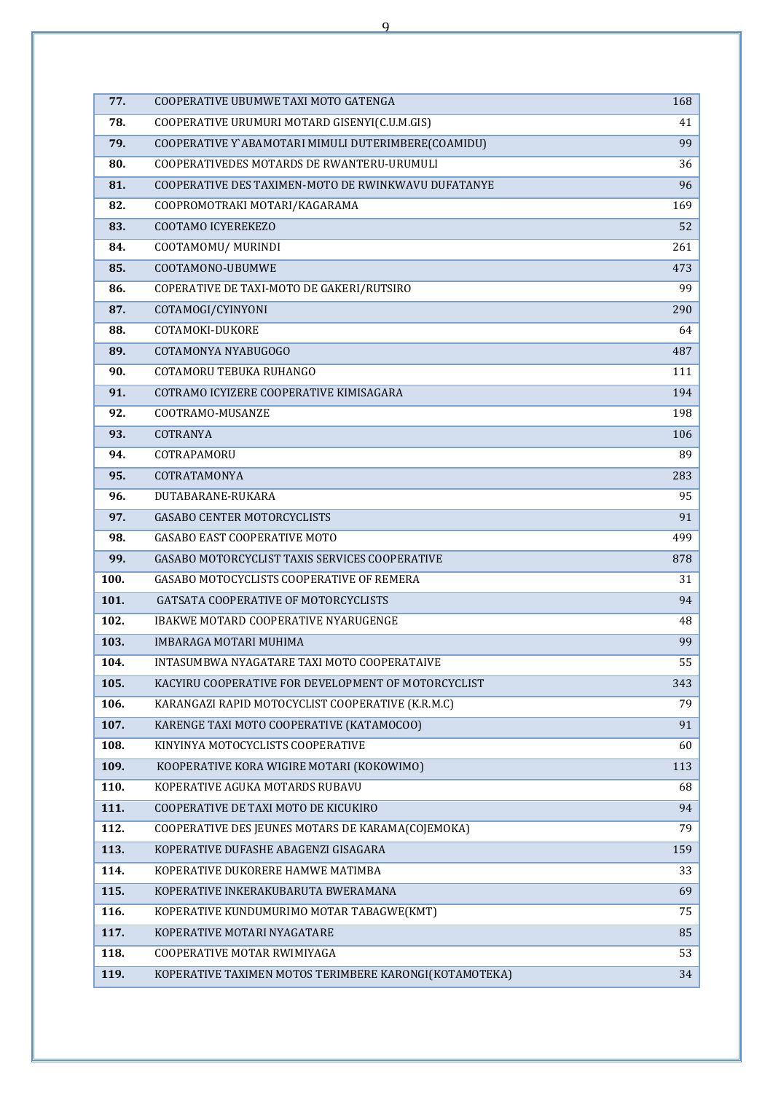| 77.  | COOPERATIVE UBUMWE TAXI MOTO GATENGA                   | 168 |  |  |  |  |
|------|--------------------------------------------------------|-----|--|--|--|--|
| 78.  | COOPERATIVE URUMURI MOTARD GISENYI(C.U.M.GIS)          |     |  |  |  |  |
| 79.  | COOPERATIVE Y`ABAMOTARI MIMULI DUTERIMBERE(COAMIDU)    |     |  |  |  |  |
| 80.  | COOPERATIVEDES MOTARDS DE RWANTERU-URUMULI             |     |  |  |  |  |
| 81.  | COOPERATIVE DES TAXIMEN-MOTO DE RWINKWAVU DUFATANYE    |     |  |  |  |  |
| 82.  | COOPROMOTRAKI MOTARI/KAGARAMA                          |     |  |  |  |  |
| 83.  | COOTAMO ICYEREKEZO                                     |     |  |  |  |  |
| 84.  | COOTAMOMU/ MURINDI                                     |     |  |  |  |  |
| 85.  | COOTAMONO-UBUMWE                                       | 473 |  |  |  |  |
| 86.  | COPERATIVE DE TAXI-MOTO DE GAKERI/RUTSIRO              | 99  |  |  |  |  |
| 87.  | COTAMOGI/CYINYONI                                      |     |  |  |  |  |
| 88.  | COTAMOKI-DUKORE                                        | 64  |  |  |  |  |
| 89.  | COTAMONYA NYABUGOGO                                    |     |  |  |  |  |
| 90.  | COTAMORU TEBUKA RUHANGO                                | 111 |  |  |  |  |
| 91.  | COTRAMO ICYIZERE COOPERATIVE KIMISAGARA                | 194 |  |  |  |  |
| 92.  | COOTRAMO-MUSANZE                                       | 198 |  |  |  |  |
| 93.  | COTRANYA                                               | 106 |  |  |  |  |
| 94.  | COTRAPAMORU                                            | 89  |  |  |  |  |
| 95.  | COTRATAMONYA                                           |     |  |  |  |  |
| 96.  | DUTABARANE-RUKARA                                      |     |  |  |  |  |
| 97.  | <b>GASABO CENTER MOTORCYCLISTS</b>                     |     |  |  |  |  |
| 98.  | <b>GASABO EAST COOPERATIVE MOTO</b>                    |     |  |  |  |  |
| 99.  | GASABO MOTORCYCLIST TAXIS SERVICES COOPERATIVE         | 878 |  |  |  |  |
| 100. | GASABO MOTOCYCLISTS COOPERATIVE OF REMERA              | 31  |  |  |  |  |
| 101. | GATSATA COOPERATIVE OF MOTORCYCLISTS                   | 94  |  |  |  |  |
| 102. | IBAKWE MOTARD COOPERATIVE NYARUGENGE                   | 48  |  |  |  |  |
| 103. | <b>IMBARAGA MOTARI MUHIMA</b>                          | 99  |  |  |  |  |
| 104. | INTASUMBWA NYAGATARE TAXI MOTO COOPERATAIVE            | 55  |  |  |  |  |
| 105. | KACYIRU COOPERATIVE FOR DEVELOPMENT OF MOTORCYCLIST    | 343 |  |  |  |  |
| 106. | KARANGAZI RAPID MOTOCYCLIST COOPERATIVE (K.R.M.C)      | 79  |  |  |  |  |
| 107. | KARENGE TAXI MOTO COOPERATIVE (KATAMOCOO)              | 91  |  |  |  |  |
| 108. | KINYINYA MOTOCYCLISTS COOPERATIVE                      | 60  |  |  |  |  |
| 109. | KOOPERATIVE KORA WIGIRE MOTARI (KOKOWIMO)              | 113 |  |  |  |  |
| 110. | KOPERATIVE AGUKA MOTARDS RUBAVU                        | 68  |  |  |  |  |
| 111. | COOPERATIVE DE TAXI MOTO DE KICUKIRO                   | 94  |  |  |  |  |
| 112. | COOPERATIVE DES JEUNES MOTARS DE KARAMA(COJEMOKA)      | 79  |  |  |  |  |
| 113. | KOPERATIVE DUFASHE ABAGENZI GISAGARA                   | 159 |  |  |  |  |
| 114. | KOPERATIVE DUKORERE HAMWE MATIMBA                      | 33  |  |  |  |  |
| 115. | KOPERATIVE INKERAKUBARUTA BWERAMANA                    | 69  |  |  |  |  |
| 116. | KOPERATIVE KUNDUMURIMO MOTAR TABAGWE(KMT)              | 75  |  |  |  |  |
| 117. | KOPERATIVE MOTARI NYAGATARE                            | 85  |  |  |  |  |
| 118. | COOPERATIVE MOTAR RWIMIYAGA                            | 53  |  |  |  |  |
| 119. | KOPERATIVE TAXIMEN MOTOS TERIMBERE KARONGI(KOTAMOTEKA) | 34  |  |  |  |  |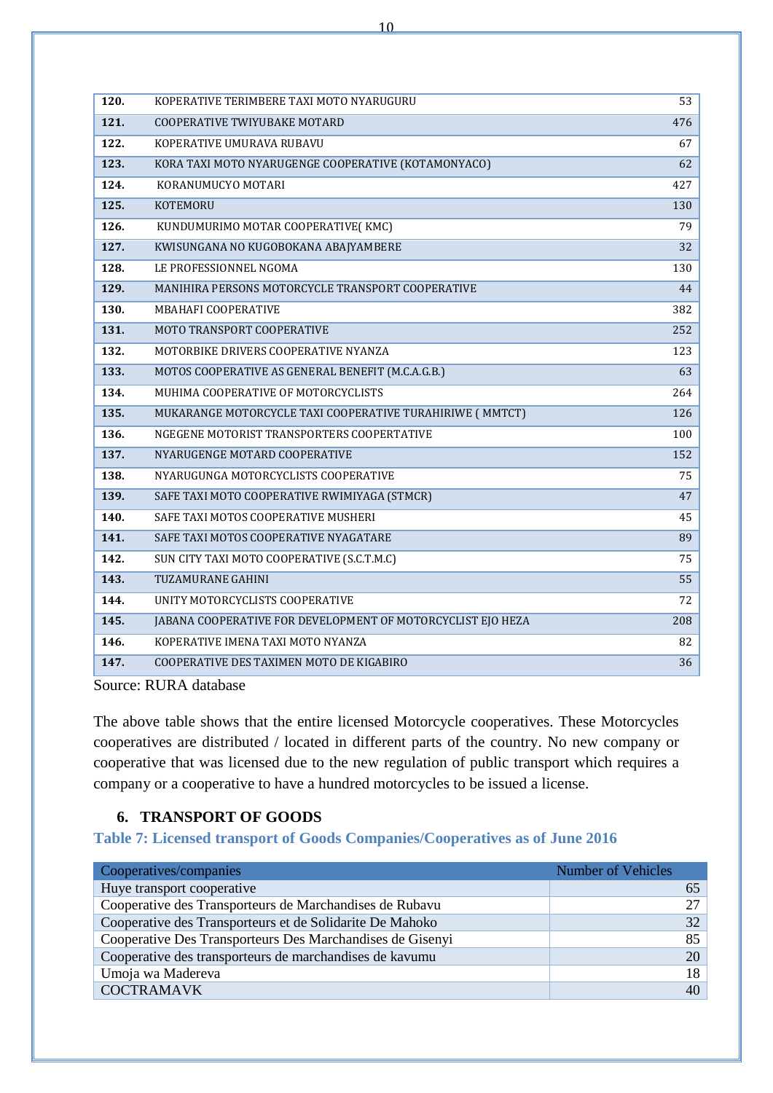| 120. | KOPERATIVE TERIMBERE TAXI MOTO NYARUGURU                    | 53  |
|------|-------------------------------------------------------------|-----|
| 121. | COOPERATIVE TWIYUBAKE MOTARD                                | 476 |
| 122. | KOPERATIVE UMURAVA RUBAVU                                   | 67  |
| 123. | KORA TAXI MOTO NYARUGENGE COOPERATIVE (KOTAMONYACO)         | 62  |
| 124. | KORANUMUCYO MOTARI                                          | 427 |
| 125. | KOTEMORU                                                    | 130 |
| 126. | KUNDUMURIMO MOTAR COOPERATIVE (KMC)                         | 79  |
| 127. | KWISUNGANA NO KUGOBOKANA ABAJYAMBERE                        | 32  |
| 128. | LE PROFESSIONNEL NGOMA                                      | 130 |
| 129. | MANIHIRA PERSONS MOTORCYCLE TRANSPORT COOPERATIVE           | 44  |
| 130. | MBAHAFI COOPERATIVE                                         | 382 |
| 131. | MOTO TRANSPORT COOPERATIVE                                  | 252 |
| 132. | MOTORBIKE DRIVERS COOPERATIVE NYANZA                        | 123 |
| 133. | MOTOS COOPERATIVE AS GENERAL BENEFIT (M.C.A.G.B.)           | 63  |
| 134. | MUHIMA COOPERATIVE OF MOTORCYCLISTS                         | 264 |
| 135. | MUKARANGE MOTORCYCLE TAXI COOPERATIVE TURAHIRIWE (MMTCT)    | 126 |
| 136. | NGEGENE MOTORIST TRANSPORTERS COOPERTATIVE                  | 100 |
| 137. | NYARUGENGE MOTARD COOPERATIVE                               | 152 |
| 138. | NYARUGUNGA MOTORCYCLISTS COOPERATIVE                        | 75  |
| 139. | SAFE TAXI MOTO COOPERATIVE RWIMIYAGA (STMCR)                | 47  |
| 140. | SAFE TAXI MOTOS COOPERATIVE MUSHERI                         | 45  |
| 141. | SAFE TAXI MOTOS COOPERATIVE NYAGATARE                       | 89  |
| 142. | SUN CITY TAXI MOTO COOPERATIVE (S.C.T.M.C)                  | 75  |
| 143. | TUZAMURANE GAHINI                                           | 55  |
| 144. | UNITY MOTORCYCLISTS COOPERATIVE                             | 72  |
| 145. | JABANA COOPERATIVE FOR DEVELOPMENT OF MOTORCYCLIST EJO HEZA | 208 |
| 146. | KOPERATIVE IMENA TAXI MOTO NYANZA                           | 82  |
| 147. | COOPERATIVE DES TAXIMEN MOTO DE KIGABIRO                    | 36  |

The above table shows that the entire licensed Motorcycle cooperatives. These Motorcycles cooperatives are distributed / located in different parts of the country. No new company or cooperative that was licensed due to the new regulation of public transport which requires a company or a cooperative to have a hundred motorcycles to be issued a license.

### **6. TRANSPORT OF GOODS**

<span id="page-10-1"></span><span id="page-10-0"></span>**Table 7: Licensed transport of Goods Companies/Cooperatives as of June 2016**

| Cooperatives/companies                                    | <b>Number of Vehicles</b> |
|-----------------------------------------------------------|---------------------------|
| Huye transport cooperative                                |                           |
| Cooperative des Transporteurs de Marchandises de Rubavu   |                           |
| Cooperative des Transporteurs et de Solidarite De Mahoko  | 32                        |
| Cooperative Des Transporteurs Des Marchandises de Gisenyi | 85                        |
| Cooperative des transporteurs de marchandises de kavumu   | 20                        |
| Umoja wa Madereva                                         | 18                        |
| <b>COCTRAMAVK</b>                                         | 40                        |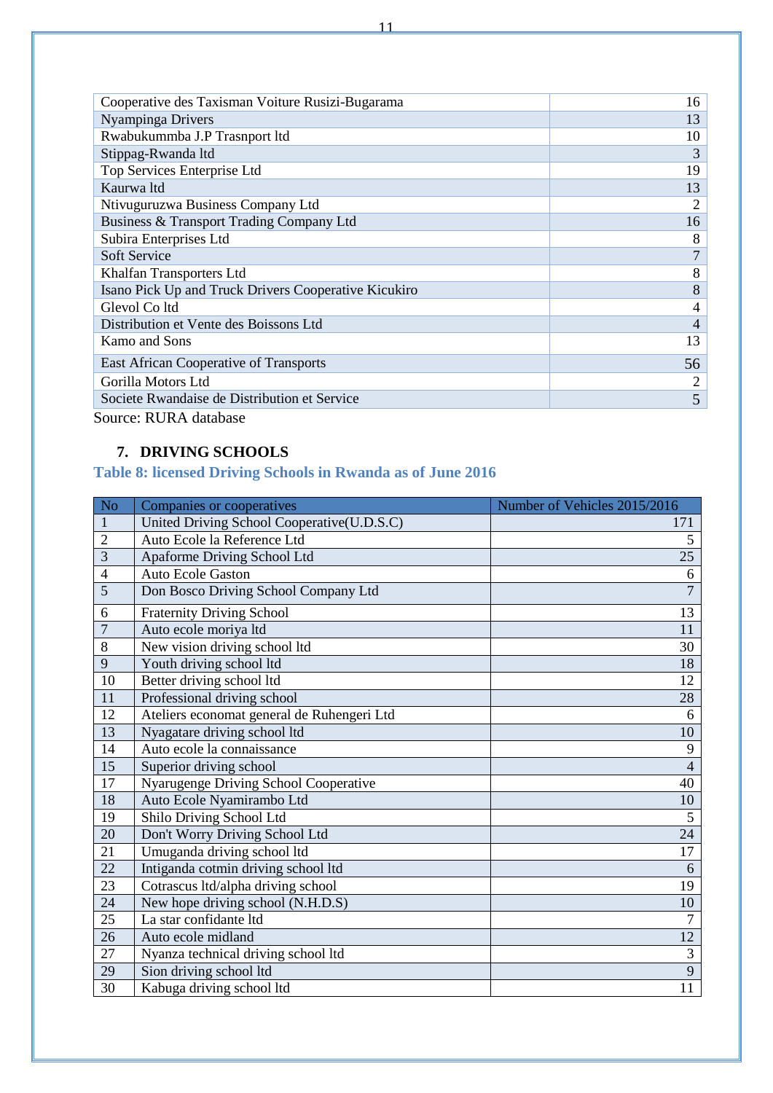| Cooperative des Taxisman Voiture Rusizi-Bugarama     | 16 |  |
|------------------------------------------------------|----|--|
| Nyampinga Drivers                                    | 13 |  |
| Rwabukummba J.P Trasnport ltd                        | 10 |  |
| Stippag-Rwanda ltd                                   | 3  |  |
| Top Services Enterprise Ltd                          | 19 |  |
| Kaurwa ltd                                           | 13 |  |
| Ntivuguruzwa Business Company Ltd                    | 2  |  |
| Business & Transport Trading Company Ltd             | 16 |  |
| Subira Enterprises Ltd                               | 8  |  |
| Soft Service                                         | 7  |  |
| Khalfan Transporters Ltd                             | 8  |  |
| Isano Pick Up and Truck Drivers Cooperative Kicukiro | 8  |  |
| Glevol Co ltd                                        | 4  |  |
| Distribution et Vente des Boissons Ltd.              | 4  |  |
| Kamo and Sons                                        | 13 |  |
| East African Cooperative of Transports               | 56 |  |
| Gorilla Motors Ltd                                   |    |  |
| Societe Rwandaise de Distribution et Service         |    |  |
| $\mathbf{C}$ DIID A distribution                     |    |  |

## **7. DRIVING SCHOOLS**

## <span id="page-11-1"></span><span id="page-11-0"></span>**Table 8: licensed Driving Schools in Rwanda as of June 2016**

| N <sub>o</sub> | Companies or cooperatives                  | Number of Vehicles 2015/2016 |
|----------------|--------------------------------------------|------------------------------|
| 1              | United Driving School Cooperative(U.D.S.C) | 171                          |
| $\overline{2}$ | Auto Ecole la Reference Ltd                | 5                            |
| 3              | Apaforme Driving School Ltd                | 25                           |
| $\overline{4}$ | <b>Auto Ecole Gaston</b>                   | 6                            |
| $\overline{5}$ | Don Bosco Driving School Company Ltd       | $\overline{7}$               |
| 6              | <b>Fraternity Driving School</b>           | 13                           |
| $\overline{7}$ | Auto ecole moriya ltd                      | 11                           |
| 8              | New vision driving school ltd              | 30                           |
| 9              | Youth driving school ltd                   | 18                           |
| 10             | Better driving school ltd                  | 12                           |
| 11             | Professional driving school                | 28                           |
| 12             | Ateliers economat general de Ruhengeri Ltd | 6                            |
| 13             | Nyagatare driving school ltd               | 10                           |
| 14             | Auto ecole la connaissance                 | 9                            |
| 15             | Superior driving school                    | $\overline{4}$               |
| 17             | Nyarugenge Driving School Cooperative      | 40                           |
| 18             | Auto Ecole Nyamirambo Ltd                  | 10                           |
| 19             | Shilo Driving School Ltd                   | 5                            |
| 20             | Don't Worry Driving School Ltd             | 24                           |
| 21             | Umuganda driving school ltd                | 17                           |
| 22             | Intiganda cotmin driving school ltd        | 6                            |
| 23             | Cotrascus ltd/alpha driving school         | 19                           |
| 24             | New hope driving school (N.H.D.S)          | 10                           |
| 25             | La star confidante ltd                     | $\overline{7}$               |
| 26             | Auto ecole midland                         | 12                           |
| 27             | Nyanza technical driving school ltd        | $\mathfrak{Z}$               |
| 29             | Sion driving school ltd                    | $\overline{9}$               |
| 30             | Kabuga driving school ltd                  | 11                           |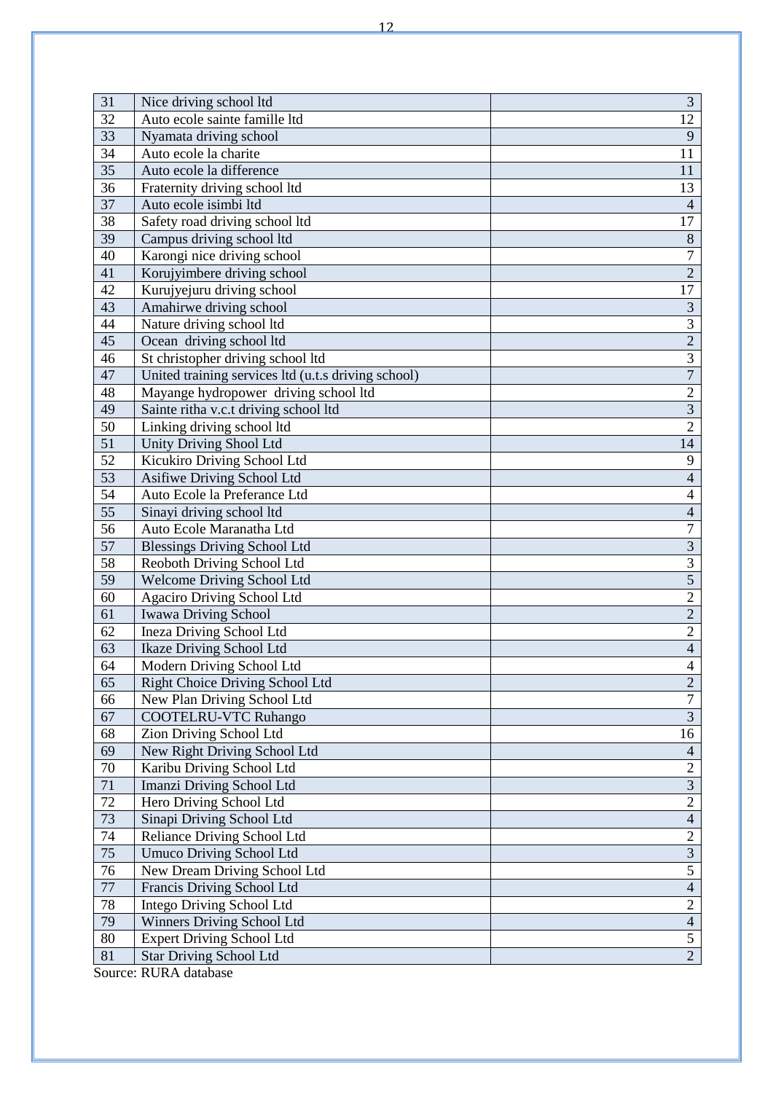| 31              | Nice driving school ltd                             | 3                       |  |  |  |
|-----------------|-----------------------------------------------------|-------------------------|--|--|--|
| 32              | Auto ecole sainte famille ltd                       | 12                      |  |  |  |
| 33              | Nyamata driving school                              | 9                       |  |  |  |
| 34              | Auto ecole la charite                               |                         |  |  |  |
| 35              | Auto ecole la difference                            | 11<br>11                |  |  |  |
| 36              | Fraternity driving school ltd                       | 13                      |  |  |  |
| 37              | Auto ecole isimbi ltd                               | $\overline{4}$          |  |  |  |
| 38              | Safety road driving school ltd                      | 17                      |  |  |  |
| 39              | Campus driving school ltd                           | $8\,$                   |  |  |  |
| 40              | Karongi nice driving school                         | $\overline{7}$          |  |  |  |
| 41              | Korujyimbere driving school                         | $\overline{2}$          |  |  |  |
| 42              | Kurujyejuru driving school                          | 17                      |  |  |  |
| 43              | Amahirwe driving school                             | $\overline{\mathbf{3}}$ |  |  |  |
| 44              | Nature driving school ltd                           | $\overline{3}$          |  |  |  |
| 45              | Ocean driving school ltd                            | $\overline{2}$          |  |  |  |
| 46              | St christopher driving school ltd                   | $\overline{3}$          |  |  |  |
| 47              | United training services ltd (u.t.s driving school) | $\overline{7}$          |  |  |  |
| 48              | Mayange hydropower driving school ltd               | $\overline{2}$          |  |  |  |
| 49              | Sainte ritha v.c.t driving school ltd               | $\overline{3}$          |  |  |  |
| 50              | Linking driving school ltd                          | $\overline{2}$          |  |  |  |
| 51              | <b>Unity Driving Shool Ltd</b>                      | 14                      |  |  |  |
| 52              | Kicukiro Driving School Ltd                         | 9                       |  |  |  |
| 53              | Asifiwe Driving School Ltd                          | $\overline{4}$          |  |  |  |
| 54              | Auto Ecole la Preferance Ltd                        | $\overline{4}$          |  |  |  |
| $\overline{55}$ | Sinayi driving school ltd                           | $\overline{4}$          |  |  |  |
| 56              | Auto Ecole Maranatha Ltd                            | $\overline{7}$          |  |  |  |
| 57              | <b>Blessings Driving School Ltd</b>                 | $\overline{3}$          |  |  |  |
| 58              | Reoboth Driving School Ltd                          | $\overline{3}$          |  |  |  |
| 59              | Welcome Driving School Ltd                          | $\overline{5}$          |  |  |  |
| $\overline{60}$ | Agaciro Driving School Ltd                          | $\overline{2}$          |  |  |  |
| 61              | <b>Iwawa Driving School</b>                         | $\overline{2}$          |  |  |  |
| 62              | Ineza Driving School Ltd                            | $\overline{2}$          |  |  |  |
| 63              | Ikaze Driving School Ltd                            | $\overline{\mathbf{4}}$ |  |  |  |
| 64              | Modern Driving School Ltd                           | $\overline{4}$          |  |  |  |
| 65              | Right Choice Driving School Ltd                     | $\overline{c}$          |  |  |  |
| 66              | New Plan Driving School Ltd                         | $\overline{7}$          |  |  |  |
| 67              | <b>COOTELRU-VTC Ruhango</b>                         | $\overline{3}$          |  |  |  |
| 68              | Zion Driving School Ltd                             | 16                      |  |  |  |
| 69              | New Right Driving School Ltd                        | $\overline{4}$          |  |  |  |
| 70              | Karibu Driving School Ltd                           | $\overline{2}$          |  |  |  |
| 71              | Imanzi Driving School Ltd                           | $\overline{3}$          |  |  |  |
| 72              | Hero Driving School Ltd                             | $\overline{2}$          |  |  |  |
| 73              | Sinapi Driving School Ltd                           | $\overline{4}$          |  |  |  |
| 74              | Reliance Driving School Ltd                         | $\overline{2}$          |  |  |  |
| 75              | <b>Umuco Driving School Ltd</b>                     | $\overline{3}$          |  |  |  |
| 76              | New Dream Driving School Ltd                        | $\overline{5}$          |  |  |  |
| $77\,$          | Francis Driving School Ltd                          | $\overline{4}$          |  |  |  |
| 78              | Intego Driving School Ltd                           | $\overline{2}$          |  |  |  |
| 79              | Winners Driving School Ltd                          | $\overline{4}$          |  |  |  |
| 80              | <b>Expert Driving School Ltd</b>                    | $\overline{5}$          |  |  |  |
| 81              | <b>Star Driving School Ltd</b>                      | $\overline{2}$          |  |  |  |